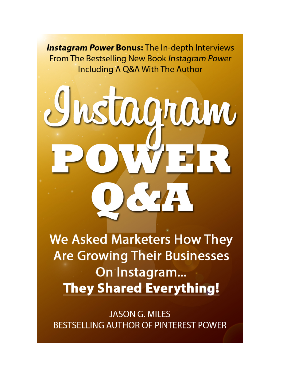**Instagram Power Bonus:** The In-depth Interviews From The Bestselling New Book Instagram Power Including A Q&A With The Author

# rstagnam

**We Asked Marketers How They Are Growing Their Businesses** On Instagram... **They Shared Everything!** 

**JASON G. MILES BESTSELLING AUTHOR OF PINTEREST POWER**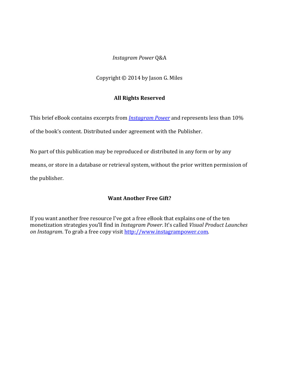# *Instagram Power* Q&A

Copyright  $\odot$  2014 by Jason G. Miles

# **All Rights Reserved**

This brief eBook contains excerpts from *Instagram Power* and represents less than 10% of the book's content. Distributed under agreement with the Publisher.

No part of this publication may be reproduced or distributed in any form or by any means, or store in a database or retrieval system, without the prior written permission of the publisher.

# **Want Another Free Gift?**

If you want another free resource I've got a free eBook that explains one of the ten monetization strategies you'll find in *Instagram Power*. It's called *Visual Product Launches on Instagram*. To grab a free copy visit http://www.instagrampower.com.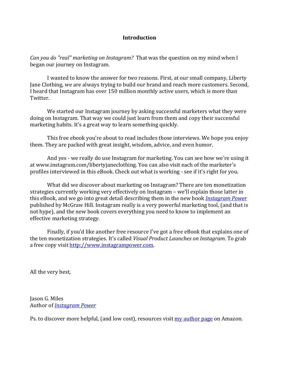# **Introduction**

*Can you do "real" marketing on Instagram?* That was the question on my mind when I began our journey on Instagram.

I wanted to know the answer for two reasons. First, at our small company, Liberty Jane Clothing, we are always trying to build our brand and reach more customers. Second, I heard that Instagram has over 150 million monthly active users, which is more than Twitter.

We started our Instagram journey by asking successful marketers what they were doing on Instagram. That way we could just learn from them and copy their successful marketing habits. It's a great way to learn something quickly.

This free ebook you're about to read includes those interviews. We hope you enjoy them. They are packed with great insight, wisdom, advice, and even humor.

And yes - we really do use Instagram for marketing. You can see how we're using it at www.instagram.com/libertyjaneclothing. You can also visit each of the marketer's profiles interviewed in this eBook. Check out what is working - see if it's right for you.

What did we discover about marketing on Instagram? There are ten monetization strategies currently working very effectively on Instagram – we'll explain those latter in this eBook, and we go into great detail describing them in the new book *Instagram Power* published by McGraw Hill. Instagram really is a very powerful marketing tool, (and that is not hype), and the new book covers everything you need to know to implement an effective marketing strategy.

Finally, if you'd like another free resource I've got a free eBook that explains one of the ten monetization strategies. It's called *Visual Product Launches on Instagram*. To grab a free copy visit http://www.instagrampower.com.

All the very best,

Jason G. Miles Author of *Instagram Power* 

Ps. to discover more helpful, (and low cost), resources visit my author page on Amazon.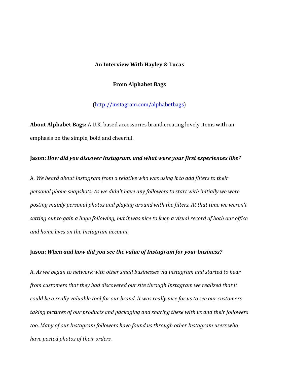### An Interview With Hayley & Lucas

## **From Alphabet Bags**

# (http://instagram.com/alphabetbags)

**About Alphabet Bags:** A U.K. based accessories brand creating lovely items with an emphasis on the simple, bold and cheerful.

## **Jason: How did you discover Instagram, and what were your first experiences like?**

A. We heard about Instagram from a relative who was using it to add filters to their *personal phone snapshots. As we didn't have any followers to start with initially we were* posting mainly personal photos and playing around with the filters. At that time we weren't setting out to gain a huge following, but it was nice to keep a visual record of both our office *and home lives on the Instagram account.*

## **Jason:** When and how did you see the value of Instagram for your business?

A. As we began to network with other small businesses via Instagram and started to hear *from customers that they had discovered our site through Instagram we realized that it could be a really valuable tool for our brand. It was really nice for us to see our customers* taking pictures of our products and packaging and sharing these with us and their followers too. Many of our Instagram followers have found us through other Instagram users who *have posted photos of their orders.*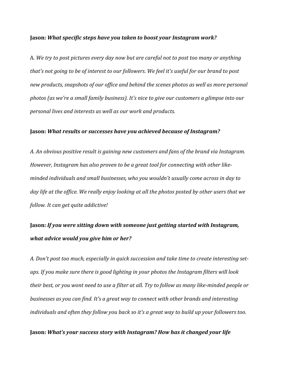#### **Jason:** *What specific steps have you taken to boost your Instagram work?*

A. We try to post pictures every day now but are careful not to post too many or anything that's not going to be of interest to our followers. We feel it's useful for our brand to post new products, snapshots of our office and behind the scenes photos as well as more personal photos (as we're a small family business). It's nice to give our customers a glimpse into our *personal lives and interests as well as our work and products.* 

## **Jason:** *What results or successes have you achieved because of Instagram?*

A. An obvious positive result is gaining new customers and fans of the brand via Instagram. However, Instagram has also proven to be a great tool for connecting with other likeminded individuals and small businesses, who you wouldn't usually come across in day to day life at the office. We really enjoy looking at all the photos posted by other users that we *follow. It can get quite addictive!* 

# **Jason:** If you were sitting down with someone just getting started with Instagram, *what advice would you give him or her?*

A. Don't post too much, especially in quick succession and take time to create interesting setups. If you make sure there is good lighting in your photos the Instagram filters will look *their best, or you wont need to use a filter at all. Try to follow as many like-minded people or businesses as you can find. It's a great way to connect with other brands and interesting individuals* and often they follow you back so it's a great way to build up your followers too.

# Jason: What's your success story with Instagram? How has it changed your life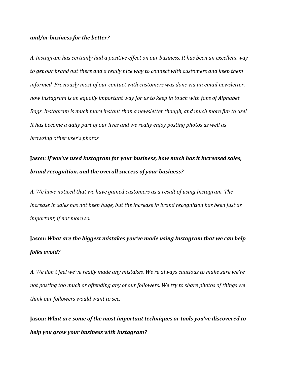## *and/or business for the better?*

*A. Instagram has certainly had a positive effect on our business. It has been an excellent way*  to get our brand out there and a really nice way to connect with customers and keep them *informed.* Previously most of our contact with customers was done via an email newsletter, now Instagram is an equally important way for us to keep in touch with fans of Alphabet Bags. Instagram is much more instant than a newsletter though, and much more fun to use! It has become a daily part of our lives and we really enjoy posting photos as well as *browsing other user's photos.* 

# **Jason**: If you've used Instagram for your business, how much has it increased sales, **brand recognition, and the overall success of your business?**

*A.* We have noticed that we have gained customers as a result of using Instagram. The *increase in sales has not been huge, but the increase in brand recognition has been just as important, if not more so.* 

# **Jason:** What are the biggest mistakes you've made using Instagram that we can help *folks avoid?*

A. We don't feel we've really made any mistakes. We're always cautious to make sure we're not posting too much or offending any of our followers. We try to share photos of things we *think our followers would want to see.*

Jason: What are some of the most important techniques or tools you've discovered to *help you grow your business with Instagram?*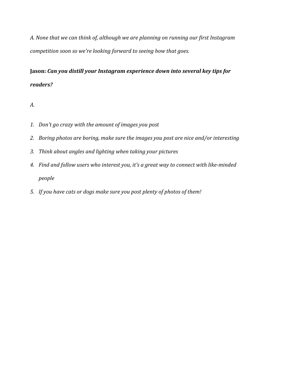A. None that we can think of, although we are planning on running our first Instagram *competition soon so we're looking forward to seeing how that goes.* 

# Jason: Can you distill your Instagram experience down into several key tips for *readers?*

# *A.*

- 1. Don't go crazy with the amount of images you post
- 2. Boring photos are boring, make sure the images you post are nice and/or interesting
- *3. Think about angles and lighting when taking your pictures*
- 4. Find and follow users who interest you, it's a great way to connect with like-minded *people*
- 5. If you have cats or dogs make sure you post plenty of photos of them!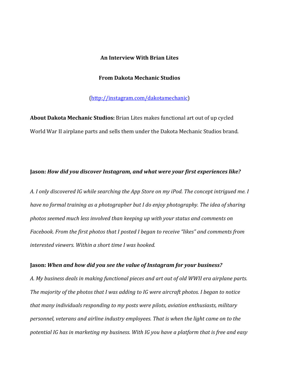## **An Interview With Brian Lites**

#### **From Dakota Mechanic Studios**

(http://instagram.com/dakotamechanic)

**About Dakota Mechanic Studios:** Brian Lites makes functional art out of up cycled World War II airplane parts and sells them under the Dakota Mechanic Studios brand.

# Jason: How did you discover Instagram, and what were your first experiences like?

A. I only discovered IG while searching the App Store on my iPod. The concept intrigued me. I have no formal training as a photographer but I do enjoy photography. The idea of sharing photos seemed much less involved than keeping up with your status and comments on Facebook. From the first photos that I posted I began to receive "likes" and comments from *interested viewers. Within a short time I was hooked.* 

#### **Jason:** When and how did you see the value of Instagram for your business?

A. My business deals in making functional pieces and art out of old WWII era airplane parts. The majority of the photos that I was adding to IG were aircraft photos. I began to notice *that many individuals responding to my posts were pilots, aviation enthusiasts, military* personnel, veterans and airline industry employees. That is when the light came on to the potential IG has in marketing my business. With IG you have a platform that is free and easy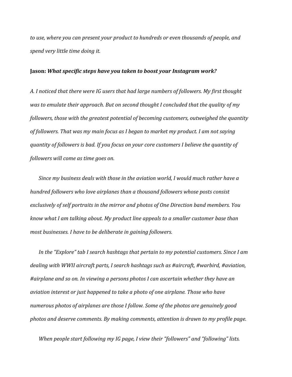to use, where you can present your product to hundreds or even thousands of people, and *spend very little time doing it.*

#### **Jason:** What specific steps have you taken to boost your Instagram work?

A. I noticed that there were IG users that had large numbers of followers. My first thought *was to emulate their approach. But on second thought I concluded that the quality of my followers, those with the greatest potential of becoming customers, outweighed the quantity* of followers. That was my main focus as I began to market my product. I am not saying *quantity of followers is bad. If you focus on your core customers I believe the quantity of followers* will come as time goes on.

*Since* my business deals with those in the aviation world, I would much rather have a *hundred followers who love airplanes than a thousand followers whose posts consist* exclusively of self portraits in the mirror and photos of One Direction band members. You *know* what I am talking about. My product line appeals to a smaller customer base than *most businesses. I have to be deliberate in gaining followers.* 

In the "Explore" tab I search hashtags that pertain to my potential customers. Since I am dealing with *WWII* aircraft parts, I search hashtags such as #aircraft, #warbird, #aviation, #airplane and so on. In viewing a persons photos I can ascertain whether they have an *aviation interest or just happened to take a photo of one airplane. Those who have* numerous photos of airplanes are those I follow. Some of the photos are genuinely good photos and deserve comments. By making comments, attention is drawn to my profile page.

*When people start following my IG page, I view their "followers" and "following" lists.*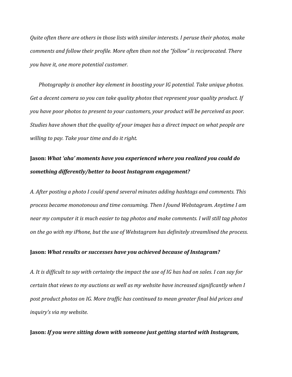*Quite* often there are others in those lists with similar interests. I peruse their photos, make *comments and follow their profile. More often than not the "follow" is reciprocated. There you have it, one more potential customer.* 

*Photography is another key element in boosting your IG potential. Take unique photos.* Get a decent camera so you can take quality photos that represent your quality product. If *you have poor photos to present to your customers, your product will be perceived as poor. Studies have shown that the quality of your images has a direct impact on what people are willing to pay. Take your time and do it right.* 

# **Jason: What 'aha' moments have you experienced where you realized you could do** something differently/better to boost Instagram engagement?

A. After posting a photo I could spend several minutes adding hashtags and comments. This *process became monotonous and time consuming. Then I found Webstagram. Anytime I am* near my computer it is much easier to tag photos and make comments. I will still tag photos on the go with my iPhone, but the use of Webstagram has definitely streamlined the process.

## **Jason:** *What results or successes have you achieved because of Instagram?*

A. It is difficult to say with certainty the impact the use of IG has had on sales. I can say for *certain that views to my auctions as well as my website have increased significantly when I* post product photos on IG. More traffic has continued to mean greater final bid prices and *inquiry's* via my website.

**Jason:** If you were sitting down with someone just getting started with Instagram,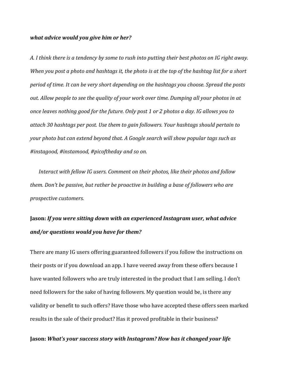#### *what advice would you give him or her?*

*A.* I think there is a tendency by some to rush into putting their best photos on IG right away. *When you post a photo and hashtags it, the photo is at the top of the hashtag list for a short period of time. It can be very short depending on the hashtags you choose. Spread the posts out.* Allow people to see the quality of your work over time. Dumping all your photos in at *once leaves nothing good for the future. Only post 1 or 2 photos a day. IG allows you to attach 30 hashtags per post. Use them to gain followers. Your hashtags should pertain to your* photo but can extend beyond that. A Google search will show popular tags such as #instagood, #instamood, #picoftheday and so on.

*Interact with fellow IG users. Comment on their photos, like their photos and follow them.* Don't be passive, but rather be proactive in building a base of followers who are *prospective customers.*

# **Jason:** If you were sitting down with an experienced Instagram user, what advice *and/or questions would you have for them?*

There are many IG users offering guaranteed followers if you follow the instructions on their posts or if you download an app. I have veered away from these offers because I have wanted followers who are truly interested in the product that I am selling. I don't need followers for the sake of having followers. My question would be, is there any validity or benefit to such offers? Have those who have accepted these offers seen marked results in the sale of their product? Has it proved profitable in their business?

## Jason: What's your success story with Instagram? How has it changed your life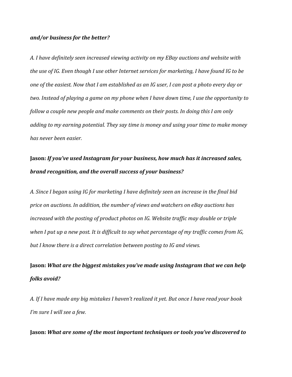## *and/or business for the better?*

A. I have definitely seen increased viewing activity on my EBay auctions and website with *the use of IG. Even though I use other Internet services for marketing, I have found IG to be* one of the easiest. Now that I am established as an IG user, I can post a photo every day or *two. Instead of playing a game on my phone when I have down time, I use the opportunity to follow a couple new people and make comments on their posts. In doing this I am only adding* to my earning potential. They say time is money and using your time to make money *has never been easier.*

# **Jason:** *If you've used Instagram for your business, how much has it increased sales,* **brand recognition, and the overall success of your business?**

A. Since I began using IG for marketing I have definitely seen an increase in the final bid *price* on auctions. In addition, the number of views and watchers on eBay auctions has *increased with the posting of product photos on IG. Website traffic may double or triple* when I put up a new post. It is difficult to say what percentage of my traffic comes from IG, but I know there is a direct correlation between posting to IG and views.

# **Jason:** What are the biggest mistakes you've made using Instagram that we can help *folks avoid?*

A. If I have made any big mistakes I haven't realized it yet. But once I have read your book *I'm* sure *I* will see a few.

**Jason:** What are some of the most important techniques or tools you've discovered to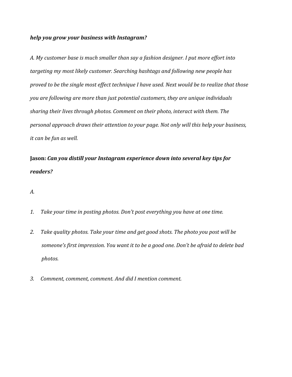## *help* you grow your business with Instagram?

A. My customer base is much smaller than say a fashion designer. I put more effort into targeting my most likely customer. Searching hashtags and following new people has *proved to be the single most effect technique I have used. Next would be to realize that those you are following are more than just potential customers, they are unique individuals sharing their lives through photos. Comment on their photo, interact with them. The personal approach draws their attention to your page. Not only will this help your business, it can be fun as well.* 

**Jason: Can you distill your Instagram experience down into several key tips for** *readers?*

*A.*

- 1. Take your time in posting photos. Don't post everything you have at one time.
- 2. Take quality photos. Take your time and get good shots. The photo you post will be someone's first impression. You want it to be a good one. Don't be afraid to delete bad *photos.*
- *3. Comment, comment, comment. And did I mention comment.*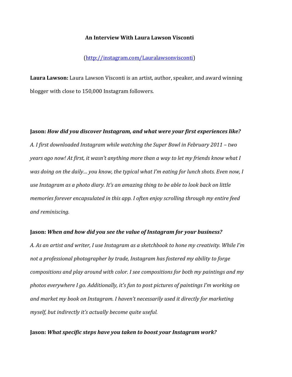#### **An Interview With Laura Lawson Visconti**

## (http://instagram.com/Lauralawsonvisconti)

**Laura Lawson:** Laura Lawson Visconti is an artist, author, speaker, and award winning blogger with close to 150,000 Instagram followers.

# **Jason: How did you discover Instagram, and what were your first experiences like?** A. I first downloaded Instagram while watching the Super Bowl in February 2011 – two *years ago now!* At first, it wasn't anything more than a way to let my friends know what I *was doing on the daily... you know, the typical what I'm eating for lunch shots. Even now, I* use Instagram as a photo diary. It's an amazing thing to be able to look back on little *memories forever encapsulated in this app. I often enjoy scrolling through my entire feed and reminiscing.*

#### **Jason:** When and how did you see the value of Instagram for your business?

A. As an artist and writer, I use Instagram as a sketchbook to hone my creativity. While I'm not a professional photographer by trade, Instagram has fostered my ability to forge *compositions and play around with color. I see compositions for both my paintings and my photos everywhere I go. Additionally, it's fun to post pictures of paintings I'm working on* and market my book on Instagram. I haven't necessarily used it directly for marketing myself, but indirectly it's actually become quite useful.

## **Jason:** What specific steps have you taken to boost your Instagram work?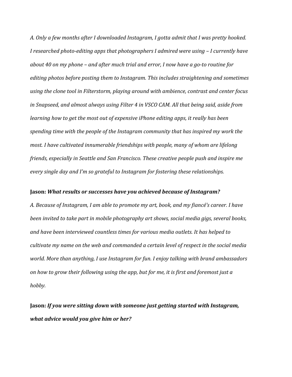A. Only a few months after I downloaded Instagram, I gotta admit that I was pretty hooked. *I* researched photo-editing apps that photographers *I* admired were using – *I* currently have about 40 on my phone – and after much trial and error, I now have a go-to routine for *editing photos before posting them to Instagram. This includes straightening and sometimes* using the clone tool in Filterstorm, playing around with ambience, contrast and center focus in Snapseed, and almost always using Filter 4 in VSCO CAM. All that being said, aside from *learning how to get the most out of expensive iPhone editing apps, it really has been* spending time with the people of the Instagram community that has inspired my work the *most. I have cultivated innumerable friendships with people, many of whom are lifelong friends, especially in Seattle and San Francisco. These creative people push and inspire me* every single day and I'm so grateful to Instagram for fostering these relationships.

#### **Jason:** *What results or successes have you achieved because of Instagram?*

A. Because of Instagram, I am able to promote my art, book, and my fiancé's career. I have been invited to take part in mobile photography art shows, social media gigs, several books, and have been interviewed countless times for various media outlets. It has helped to cultivate my name on the web and commanded a certain level of respect in the social media *world.* More than anything, I use Instagram for fun. I enjoy talking with brand ambassadors on how to grow their following using the app, but for me, it is first and foremost just a *hobby.*

**Jason:** *If* you were sitting down with someone just getting started with Instagram, *what advice would you give him or her?*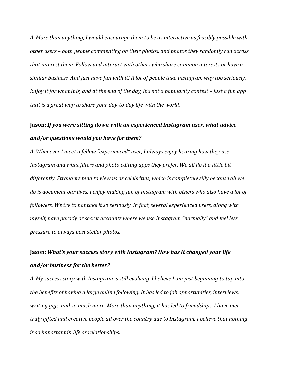A. More than anything, I would encourage them to be as interactive as feasibly possible with other users – both people commenting on their photos, and photos they randomly run across that interest them. Follow and interact with others who share common interests or have a similar business. And just have fun with it! A lot of people take Instagram way too seriously. *Enjoy* it for what it is, and at the end of the day, it's not a popularity contest – just a fun app *that is a great way to share your day-to-day life with the world.* 

# **Jason:** If you were sitting down with an experienced Instagram user, what advice *and/or questions would you have for them?*

A. Whenever I meet a fellow "experienced" user, I always enjoy hearing how they use Instagram and what filters and photo editing apps they prefer. We all do it a little bit differently. Strangers tend to view us as celebrities, which is completely silly because all we *do* is document our lives. I enjoy making fun of Instagram with others who also have a lot of *followers.* We try to not take it so seriously. In fact, several experienced users, along with *myself, have parody or secret accounts where we use Instagram "normally" and feel less pressure to always post stellar photos.* 

# **Jason:** *What's* your success story with Instagram? How has it changed your life *and/or business for the better?*

*A. My success story with Instagram is still evolving. I believe I am just beginning to tap into the benefits of having a large online following. It has led to job opportunities, interviews,* writing gigs, and so much more. More than anything, it has led to friendships. I have met *truly gifted and creative people all over the country due to Instagram. I believe that nothing is* so important in life as relationships.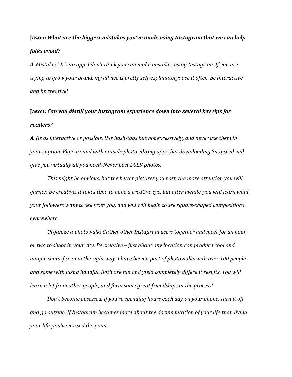# **Jason:** *What are the biggest mistakes you've made using Instagram that we can help folks avoid?*

A. Mistakes? It's an app. I don't think you can make mistakes using Instagram. If you are *trying to grow your brand, my advice is pretty self-explanatory: use it often, be interactive, and be creative!*

# **Jason:** *Can you distill your Instagram experience down into several key tips for readers?*

*A.* Be as interactive as possible. Use hash-tags but not excessively, and never use them in *your caption. Play around with outside photo editing apps, but downloading Snapseed will give you virtually all you need.* Never post DSLR photos.

*This* might be obvious, but the better pictures you post, the more attention you will *garner.* Be creative. It takes time to hone a creative eye, but after awhile, you will learn what *your followers* want to see from you, and you will begin to see square-shaped compositions *everywhere.*

*Organize a photowalk! Gather other Instagram users together and meet for an hour or* two to shoot in your city. Be creative – just about any location can produce cool and *unique shots if seen in the right way. I have been a part of photowalks with over 100 people,* and some with just a handful. Both are fun and yield completely different results. You will *learn* a lot from other people, and form some great friendships in the process!

*Don't become obsessed. If you're spending hours each day on your phone, turn it off* and go outside. If Instagram becomes more about the documentation of your life than living *your life, you've missed the point.*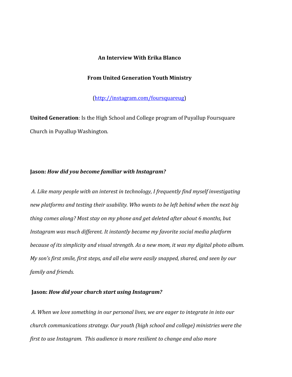## **An Interview With Erika Blanco**

#### **From United Generation Youth Ministry**

(http://instagram.com/foursquareug)

**United Generation**: Is the High School and College program of Puyallup Foursquare Church in Puyallup Washington.

## Jason: How did you become familiar with Instagram?

A. Like many people with an interest in technology, I frequently find myself investigating new platforms and testing their usability. Who wants to be left behind when the next big *thing comes along? Most stay on my phone and get deleted after about 6 months, but Instagram* was much different. It instantly became my favorite social media platform *because of its simplicity and visual strength. As a new mom, it was my digital photo album. My son's first smile, first steps, and all else were easily snapped, shared, and seen by our family and friends.*

## **Jason: How did your church start using Instagram?**

A. When we love something in our personal lives, we are eager to integrate in into our *church communications strategy. Our youth (high school and college) ministries were the first to use Instagram. This audience is more resilient to change and also more*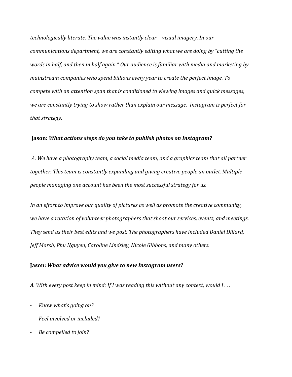*technologically literate. The value was instantly clear – visual imagery. In our communications department, we are constantly editing what we are doing by "cutting the* words in half, and then in half again." Our audience is familiar with media and marketing by *mainstream companies who spend billions every year to create the perfect image. To compete with an attention span that is conditioned to viewing images and quick messages,* we are constantly trying to show rather than explain our message. Instagram is perfect for *that strategy.* 

## **Jason:** What actions steps do you take to publish photos on Instagram?

A. We have a photography team, a social media team, and a graphics team that all partner *together.* This team is constantly expanding and giving creative people an outlet. Multiple *people managing one account has been the most successful strategy for us.* 

*In an effort to improve our quality of pictures as well as promote the creative community,* we have a rotation of volunteer photographers that shoot our services, events, and meetings. They send us their best edits and we post. The photographers have included Daniel Dillard, *Jeff Marsh, Phu Nguyen, Caroline Lindsley, Nicole Gibbons, and many others.* 

### **Jason:** What advice would you give to new Instagram users?

A. With every post keep in mind: If I was reading this without any context, would  $I \ldots$ 

- *Know what's going on?*
- Feel involved or included?
- Be compelled to join?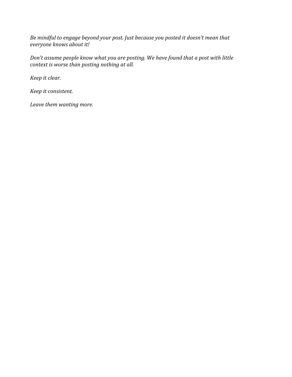Be mindful to engage beyond your post. Just because you posted it doesn't mean that *everyone knows about it!* 

Don't assume people know what you are posting. We have found that a post with little *context is worse than posting nothing at all.* 

*Keep it clear.* 

*Keep it consistent.*

Leave them wanting more.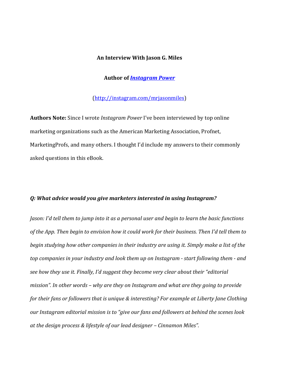#### **An Interview With Jason G. Miles**

### **Author of Instagram Power**

## (http://instagram.com/mrjasonmiles)

**Authors Note:** Since I wrote *Instagram Power* I've been interviewed by top online marketing organizations such as the American Marketing Association, Profnet, Marketing Profs, and many others. I thought I'd include my answers to their commonly asked questions in this eBook.

#### *Q: What advice would you give marketers interested in using Instagram?*

*Jason:* I'd tell them to jump into it as a personal user and begin to learn the basic functions of the App. Then begin to envision how it could work for their business. Then I'd tell them to *begin* studying how other companies in their industry are using it. Simply make a list of the *top companies in your industry and look them up on Instagram - start following them - and* see how they use it. Finally, I'd suggest they become very clear about their "editorial *mission".* In other words – why are they on Instagram and what are they going to provide *for their fans or followers that is unique & interesting? For example at Liberty Jane Clothing our Instagram editorial mission is to "give our fans and followers at behind the scenes look* at the design process & lifestyle of our lead designer – Cinnamon Miles".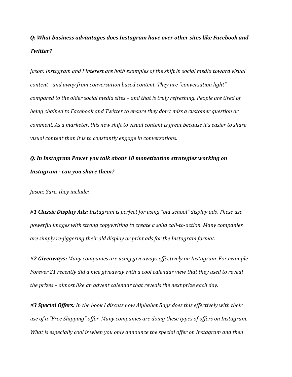# *Q: What business advantages does Instagram have over other sites like Facebook and Twitter?*

*Jason: Instagram and Pinterest are both examples of the shift in social media toward visual content* - and away from conversation based content. They are "conversation light" *compared to the older social media sites – and that is truly refreshing. People are tired of being chained to Facebook and Twitter to ensure they don't miss a customer question or comment.* As a marketer, this new shift to visual content is great because it's easier to share *visual content than it is to constantly engage in conversations.* 

# *Q: In Instagram Power you talk about 10 monetization strategies working on*  Instagram - can you share them?

*Jason: Sure, they include:* 

#1 Classic Display Ads: Instagram is perfect for using "old-school" display ads. These use powerful images with strong copywriting to create a solid call-to-action. Many companies are simply re-jiggering their old display or print ads for the Instagram format.

#2 Giveaways: Many companies are using giveaways effectively on Instagram. For example *Forever* 21 recently did a nice giveaway with a cool calendar view that they used to reveal *the prizes* – almost like an advent calendar that reveals the next prize each day.

#3 Special Offers: In the book I discuss how Alphabet Bags does this effectively with their use of a "Free Shipping" offer. Many companies are doing these types of offers on Instagram. *What is especially cool is when you only announce the special offer on Instagram and then*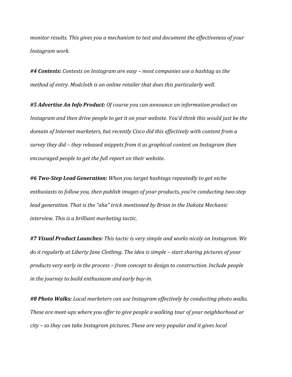*monitor results. This gives you a mechanism to test and document the effectiveness of your Instagram work.*

#4 Contests: Contests on Instagram are easy – most companies use a hashtag as the *method* of entry. Modcloth is an online retailer that does this particularly well.

#5 Advertise An Info Product: Of course you can announce an information product on Instagram and then drive people to get it on your website. You'd think this would just be the domain of Internet marketers, but recently Cisco did this effectively with content from a survey they did – they released snippets from it as graphical content on Instagram then encouraged people to get the full report on their website.

*#6 Two-Step Lead Generation: When you target hashtags repeatedly to get niche*  enthusiasts to follow you, then publish images of your products, you're conducting two-step *lead generation.* That is the "aha" trick mentioned by Brian in the Dakota Mechanic *interview. This is a brilliant marketing tactic.* 

#7 Visual Product Launches: This tactic is very simple and works nicely on Instagram. We do it regularly at Liberty Jane Clothing. The idea is simple – start sharing pictures of your products very early in the process – from concept to design to construction. Include people *in the journey to build enthusiasm and early buy-in.* 

#8 Photo Walks: Local marketers can use Instagram effectively by conducting photo walks. *These are meet-ups* where you offer to give people a walking tour of your neighborhood or *city* – so they can take Instagram pictures. These are very popular and it gives local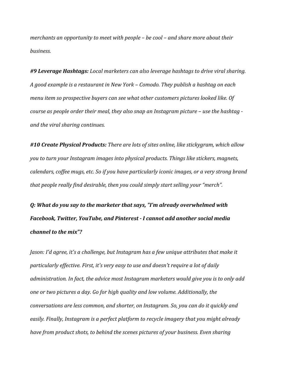*merchants* an opportunity to meet with people – be cool – and share more about their *business.*

#9 Leverage Hashtags: Local marketers can also leverage hashtags to drive viral sharing. *A* good example is a restaurant in New York – Comodo. They publish a hashtag on each *menu* item so prospective buyers can see what other customers pictures looked like. Of *course as people order their meal, they also snap an Instagram picture – use the hashtag and the viral sharing continues.*

#10 Create Physical Products: There are lots of sites online, like stickygram, which allow *you to turn your Instagram images into physical products. Things like stickers, magnets,* calendars, coffee mugs, etc. So if you have particularly *iconic* images, or a very strong brand *that people really find desirable, then you could simply start selling your "merch".* 

*Q:* What do you say to the marketer that says, "I'm already overwhelmed with Facebook, Twitter, YouTube, and Pinterest - I cannot add another social media *channel to the mix"?* 

*Jason: I'd agree, it's a challenge, but Instagram has a few unique attributes that make it particularly effective. First, it's very easy to use and doesn't require a lot of daily administration.* In fact, the advice most Instagram marketers would give you is to only add *one* or two pictures a day. Go for high quality and low volume. Additionally, the *conversations are less common, and shorter, on Instagram. So, you can do it quickly and* easily. Finally, Instagram is a perfect platform to recycle imagery that you might already *have from product shots, to behind the scenes pictures of your business. Even sharing*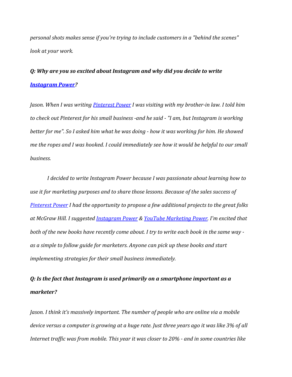personal shots makes sense if you're trying to include customers in a "behind the scenes" *look at your work.*

# *Q:* Why are you so excited about Instagram and why did you decide to write *Instagram Power?*

*Jason.* When I was writing *Pinterest Power I* was visiting with my brother-in law. I told him to check out Pinterest for his small business -and he said - "I am, but Instagram is working *better for me".* So I asked him what he was doing - how it was working for him. He showed *me* the ropes and I was hooked. I could immediately see how it would be helpful to our small *business.*

*I* decided to write Instagram Power because I was passionate about learning how to use it for marketing purposes and to share those lessons. Because of the sales success of *Pinterest Power I had the opportunity to propose a few additional projects to the great folks* at McGraw Hill. I suggested **Instagram Power & YouTube Marketing Power**. I'm excited that *both* of the new books have recently come about. I try to write each book in the same way as a simple to follow guide for marketers. Anyone can pick up these books and start *implementing strategies for their small business immediately.* 

# *Q:* Is the fact that Instagram is used primarily on a smartphone important as a *marketer?*

*Jason.* I think it's massively important. The number of people who are online via a mobile device versus a computer is growing at a huge rate. Just three years ago it was like 3% of all *Internet traffic* was from mobile. This year it was closer to 20% - and in some countries like